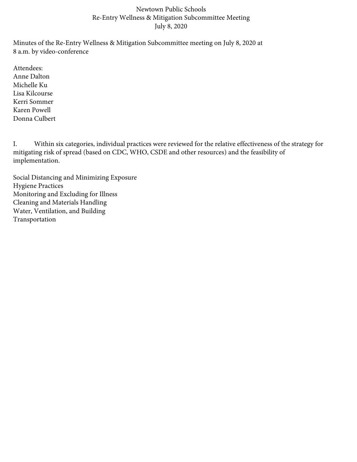## Newtown Public Schools Re-Entry Wellness & Mitigation Subcommittee Meeting July 8, 2020

Minutes of the Re-Entry Wellness & Mitigation Subcommittee meeting on July 8, 2020 at 8 a.m. by video-conference

Attendees: Anne Dalton Michelle Ku Lisa Kilcourse Kerri Sommer Karen Powell Donna Culbert

I. Within six categories, individual practices were reviewed for the relative effectiveness of the strategy for mitigating risk of spread (based on CDC, WHO, CSDE and other resources) and the feasibility of implementation.

Social Distancing and Minimizing Exposure Hygiene Practices Monitoring and Excluding for Illness Cleaning and Materials Handling Water, Ventilation, and Building Transportation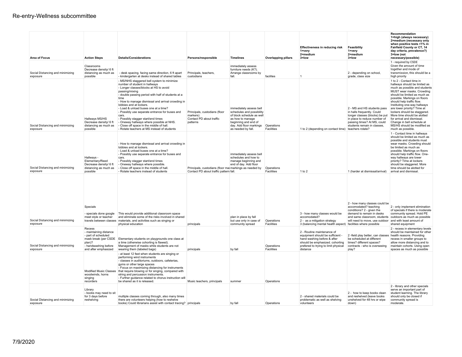| <b>Area of Focus</b>                         | <b>Action Steps</b>                                                                                                                       | <b>Details/Considerations</b>                                                                                                                                                                                                                                                                                                                                                                                                                                                                                                                                       | Persons/responsible                                                                              | <b>Timelines</b>                                                                                                                                                               | <b>Overlapping pillars</b> | Effectiveness in reducing risk<br>1=very<br>2=medium<br>$3 =$ low                                                                                                                    | Feasibility<br>$1 = \text{very}$<br>2=medium<br>$3 =$ low                                                                                                                                                                                                             | Recommendation<br>1=high (always necessary)<br>2=medium (necessary only<br>when positive tests >1% in<br>Fairfield County or CT, 14<br>day criteria, prevalence?)<br>3=low (not<br>necessary/possible)                                                                                                                                                                                                                                                             |
|----------------------------------------------|-------------------------------------------------------------------------------------------------------------------------------------------|---------------------------------------------------------------------------------------------------------------------------------------------------------------------------------------------------------------------------------------------------------------------------------------------------------------------------------------------------------------------------------------------------------------------------------------------------------------------------------------------------------------------------------------------------------------------|--------------------------------------------------------------------------------------------------|--------------------------------------------------------------------------------------------------------------------------------------------------------------------------------|----------------------------|--------------------------------------------------------------------------------------------------------------------------------------------------------------------------------------|-----------------------------------------------------------------------------------------------------------------------------------------------------------------------------------------------------------------------------------------------------------------------|--------------------------------------------------------------------------------------------------------------------------------------------------------------------------------------------------------------------------------------------------------------------------------------------------------------------------------------------------------------------------------------------------------------------------------------------------------------------|
| Social Distancing and minimizing<br>exposure | Classrooms<br>Decrease density/ 6 ft<br>distancing as much as<br>possible                                                                 | - desk spacing. facing same direction, 6 ft apart<br>- kindergarten at desks instead of shared tables                                                                                                                                                                                                                                                                                                                                                                                                                                                               | Principals, teachers,<br>custodians                                                              | immediately assess<br>furniture needs (K?).<br>Arrange classrooms by<br>fall                                                                                                   | facilites                  |                                                                                                                                                                                      | 2 - depending on school,<br>grade, class size                                                                                                                                                                                                                         | 1 - required by CSDE<br>Given the amount of time<br>together and mode of<br>transmission, this should be a<br>high priority                                                                                                                                                                                                                                                                                                                                        |
| Social Distancing and minimizing<br>exposure | Hallways MS/HS<br>Decrease density/ 6 ft<br>distancing as much as<br>possible                                                             | - MS/NHS staggered bell system to minimize<br>number of student in hallways<br>- Longer classes/blocks at HS to avoid<br>passing/mixing<br>- double passing period with half of students at a<br>time<br>- How to manage dismissal and arrival crowding in<br>lobbies and at lockers.<br>- Load & unload buses one at a time?<br>- Possibly use separate entrance for buses and<br>cars.<br>- Possibly stagger start/end times<br>- Oneway hallways where possible at NHS.<br>Close off space in the middle of hall.<br>- Rotate teachers at MS instead of students | Principals, custodians (floor<br>markers)<br>Contact PD about traffic<br>patterns                | immediately assess bell<br>schedules and possibility<br>of block schedule as well<br>as how to manage<br>beginning and end of<br>day. Add floor markings<br>as needed by fall. | Operations<br>Facilities   | 1 to 2 (depending on contact time)                                                                                                                                                   | 2 - MS and HS students pass<br>in halls frequently. Could<br>longer classes (blocks) be put<br>in place to reduce number of<br>passing times? At MS, could<br>students remain in classes,<br>teachers rotate?                                                         | 1 to 2 - Contact time in<br>hallways should be limited as<br>much as possible and students<br>MUST wear masks. Crowding<br>should be limited as much as<br>possible. Markings on floors<br>should help traffic flow.<br>Instituting one-way hallways<br>are lower priority? Time at<br>lockers should be staggered.<br>More time should be alotted<br>for arrival and dismissal.<br>Change in bell schedule at<br>MS/HS should be modified as<br>much as possible. |
| Social Distancing and minimizing<br>exposure | Hallways -<br>Elementary/Reed<br>Decrease density/ 6 ft<br>distancing as much as<br>possible                                              | - How to manage dismissal and arrival crowding in<br>lobbies and at lockers.<br>- Load & unload buses one at a time?<br>- Possibly use separate entrance for buses and<br>cars.<br>- Possibly stagger start/end times<br>Oneway hallways where possible.<br>Close off space in the middle of hall.<br>- Rotate teachers instead of students                                                                                                                                                                                                                         | Principals, custodians (floor mai markings as needed by<br>Contact PD about traffic pattern fall | immediately assess bell<br>schedules and how to<br>manage beginning and<br>end of day. Add floor                                                                               | Operations<br>Facilities   | 1 to 2                                                                                                                                                                               | 1 (harder at dismissal/arrival)                                                                                                                                                                                                                                       | 1 - Contact time in hallways<br>should be limited as much as<br>possible and students must<br>wear masks. Crowding should<br>be limited as much as<br>possible. Markings on floors<br>should help traffic flow. One-<br>way hallways are lower<br>priority? Time at lockers<br>should be staggered. More<br>time should be alotted for<br>arrival and dismissal                                                                                                    |
| Social Distancing and minimizing<br>exposure | Specials<br>- specials done google<br>meet style or teacher                                                                               | This would provide additional classroom space<br>and eliminate some of the risks involved in shared<br>travels between classes materials, and activities such as singing or<br>physical education                                                                                                                                                                                                                                                                                                                                                                   | principals                                                                                       | plan in place by fall<br>but use only in case of<br>community spread                                                                                                           | Operations<br>Facilities   | 3 - how many classes would be<br>accomodated?<br>2 - as a mitigation strategy<br>3 (balancing mental health aspect)                                                                  | 2 - how many classes could be<br>accomodated? teaching<br>conditions? 2 - given the<br>demand to remain in desks<br>and same classroom, students outdoors as much as possible<br>will need to move, use outdoor and with least amount of<br>facilities where possible | 2 - only implement elimination<br>of specials if there is moderate<br>community spread. Hold PE<br>shared equipment                                                                                                                                                                                                                                                                                                                                                |
| Social Distancing and minimizing<br>exposure | Recess<br>- maintaining distance<br>- part of scheduled<br>mask break (per CSDE<br>plan)?<br>- handwashing before<br>and after emphasized | Elementary students on playgrounds one class at<br>a time (otherwise cohorting is flawed).<br>Management of masks while students are not<br>wearing them (labeled bags)                                                                                                                                                                                                                                                                                                                                                                                             | principals                                                                                       | by fall                                                                                                                                                                        | Operations<br>Facilities   | 2 - Routine maintenance of<br>equipment should be sufficient -<br>hand washing before & after<br>should be emphasized. cohorting<br>prefered to trying to limit physical<br>distance | 2-field play better, can classes health reasons. Providing<br>be scheduled at different<br>times? different spaces?<br>contracts - who is overseeing<br>play?                                                                                                         | 2 - recess in elementary levels<br>should be maintained for other<br>recess in smaller groups to<br>allow more distancing and to<br>maintain cohorts. Using open<br>spaces as much as possible                                                                                                                                                                                                                                                                     |
|                                              | Modified Music Classes<br>woodwinds, horns<br>singing<br>recorders                                                                        | - at least 12 feet when students are singing or<br>performing wind instruments<br>- classes in auditoriums, outdoors, cafeterias,<br>gyms or other large spaces<br>- Focus on maximizing distancing for instruments<br>that require blowing or for singing, compared with<br>string and percussion instruments.<br>- Further quidance related to chorus instruction will<br>be shared as it is released.                                                                                                                                                            | Music teachers, principals                                                                       | summer                                                                                                                                                                         | Operations                 |                                                                                                                                                                                      |                                                                                                                                                                                                                                                                       |                                                                                                                                                                                                                                                                                                                                                                                                                                                                    |
| Social Distancing and minimizing<br>exposure | Library<br>- books may need to sit<br>for 3 days before<br>reshelving                                                                     | multiple classes coming through, also many times<br>there are volunteers helping (how to reshelve<br>books) Could librarians assist with contact tracing? principals                                                                                                                                                                                                                                                                                                                                                                                                |                                                                                                  | by fall                                                                                                                                                                        | Operations                 | 2 - shared materials could be<br>problematic as well as shelving<br>volunteers                                                                                                       | 2 - how to keep books clean<br>and reshelved (leave books<br>unshelved for 48 hrs or wipe<br>down)                                                                                                                                                                    | 2 - library and other specials<br>serve an important part of<br>student learning. The library<br>should only be closed if<br>community spread is<br>moderate.                                                                                                                                                                                                                                                                                                      |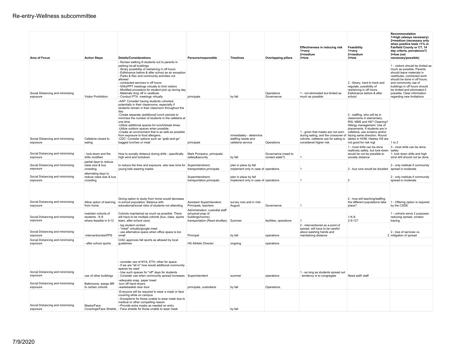| <b>Area of Focus</b>                         | <b>Action Steps</b>                                             | <b>Details/Considerations</b>                                                                                                                                                                                                                                                                                                                                                                                                                                                                                                                   | Persons/responsible                                                                                         | <b>Timelines</b>                                                   | <b>Overlapping pillars</b>             | <b>Effectiveness in reducing risk</b><br>1=very<br>2=medium<br>$3 =$ low                                                                                                                                                            | Feasibility<br>1=very<br>2=medium<br>3=low                                                                                                                                       | Recommendation<br>1=high (always necessary)<br>2=medium (necessary only<br>when positive tests >1% in<br>Fairfield County or CT, 14<br>day criteria, prevalence?)<br>3=low (not<br>necessary/possible)                                                                                                          |
|----------------------------------------------|-----------------------------------------------------------------|-------------------------------------------------------------------------------------------------------------------------------------------------------------------------------------------------------------------------------------------------------------------------------------------------------------------------------------------------------------------------------------------------------------------------------------------------------------------------------------------------------------------------------------------------|-------------------------------------------------------------------------------------------------------------|--------------------------------------------------------------------|----------------------------------------|-------------------------------------------------------------------------------------------------------------------------------------------------------------------------------------------------------------------------------------|----------------------------------------------------------------------------------------------------------------------------------------------------------------------------------|-----------------------------------------------------------------------------------------------------------------------------------------------------------------------------------------------------------------------------------------------------------------------------------------------------------------|
| Social Distancing and minimizing<br>exposure | Visitor Prohibition                                             | - Nurses walking ill students out to parents in<br>parking lot-all buildings<br>- library possibility of reshelving in off hours<br>- EdAdvance before & after school as an exception<br>- Parks & Rec and community activities not<br>allowed<br>- contracted services in off hours<br>- 504s/PPT meetings virtually to limit visitors<br>- Modified procedure for student pick up during day<br>- Materials drop off in vestibule<br>- Conduct PTA meetings virtually                                                                         | principals                                                                                                  | by fall                                                            | Operations<br>Governance               | 1 - not eliminated but limited as<br>much as possible                                                                                                                                                                               | 2 - library, hard to track and<br>regulate, possibility of<br>reshelving in off hours,<br>EdAdvance before & after<br>school                                                     | 1 - visitors should be limited as<br>much as possible. Parents<br>should leave materials in<br>vestibules, contracted work<br>should be done in off hours,<br>and community use of<br>buildings in off hours should<br>be limited and eliminated if<br>possible. Clear information<br>regarding new limitations |
| Social Distancing and minimizing<br>exposure | Cafeteria closed to<br>eating                                   | -AAP: Consider having students cohorted.<br>potentially in their classrooms, especially if<br>students remain in their classroom throughout the<br>day.<br>-Create separate (additional) lunch periods to<br>minimize the number of students in the cafeteria at<br>one time<br>-Utilize additional spaces for lunch/break times.<br>-Utilize outdoor spaces when possible.<br>-Create an environment that is as safe as possible<br>from exposure to food allergens.<br>-CDC: Consider options such as "grab-and-go"<br>bagged lunches or meal | principals                                                                                                  | immediately - determine<br>staffing needs and<br>cafeteria service | Operations                             | 1 - given that masks are not worn cafeteria, use screens and/or<br>during eating, and the crossover of facing same direction. Round<br>cohorts, cafeteria use for eating is tables in HOM, Hawley HS are<br>considered higher risk. | 2 - staffing. who will be in<br>classrooms in elementary,<br>RIS, NMS and HS? Cleaning?<br>Allergy management. Use of<br>placements. If students are in<br>not good for risk mgt | 1 to 2                                                                                                                                                                                                                                                                                                          |
| Social Distancing and minimizing<br>exposure | - lock-down and fire<br>drills modified                         | How to socially distance during drills - specifically<br>high wind and lockdown                                                                                                                                                                                                                                                                                                                                                                                                                                                                 | Mark Pompano, principals/<br>safety&security                                                                | by fall                                                            | Governance (need to<br>contact state?) |                                                                                                                                                                                                                                     | 1 - most drills can be done<br>realtively safely, but lock-down safely<br>would be not be possible to<br>socially distance                                                       | 3 - most drills can be done<br>1- lock down drills and high<br>wind drill should not be done                                                                                                                                                                                                                    |
| Social Distancing and minimizing<br>exposure | partial days to reduce<br>class size & bus<br>crowding          | to reduce the time and exposure. also less time for<br>young kids wearing masks                                                                                                                                                                                                                                                                                                                                                                                                                                                                 | Superintendnent,<br>transportation, principals                                                              | plan in place by fall<br>implement only in case of operations      |                                        |                                                                                                                                                                                                                                     | 2 - bus runs would be doubled spread is moderate                                                                                                                                 | 2 - only institute if community                                                                                                                                                                                                                                                                                 |
| Social Distancing and minimizing<br>exposure | alternating days to<br>reduce class size & bus<br>crowding      |                                                                                                                                                                                                                                                                                                                                                                                                                                                                                                                                                 | Superintendnent,<br>transportation, principals                                                              | plan in place by fall<br>implement only in case of operations      |                                        |                                                                                                                                                                                                                                     | $\overline{2}$                                                                                                                                                                   | 2 - only institute if community<br>spread is moderate                                                                                                                                                                                                                                                           |
| Social Distancing and minimizing<br>exposure | Allow option of learning<br>from home                           | Giving option to study from home would decrease<br>in-school population. Balance with<br>educational/social risks of students not attending                                                                                                                                                                                                                                                                                                                                                                                                     | Assistant Superintendent,<br>Principals, teachers                                                           | survey now and in mid-<br>August                                   | Governance                             |                                                                                                                                                                                                                                     | 2 - how will teaching/staffing<br>the different populations take<br>place?                                                                                                       | 1 - Offering option is required<br>by the CSDE                                                                                                                                                                                                                                                                  |
| Social Distancing and minimizing<br>exposure | maintain cohorts of<br>students - K-8<br>where feasible in 9-12 | Cohorts maintained as much as possible. There<br>will have to be multiple cohorts (bus, class, sports<br>team, after-school care)                                                                                                                                                                                                                                                                                                                                                                                                               | Administration, custodial staff<br>(physical prep of<br>buildings/rooms),<br>transportation (Reed shuttles) | Summer                                                             | facilities, operations                 |                                                                                                                                                                                                                                     | $1 - K - 8$<br>$2 - 9 - 12?$                                                                                                                                                     | 1 - cohorts serve 2 purposes:<br>reducing spread, contact<br>tracing.                                                                                                                                                                                                                                           |
| Social Distancing and minimizing<br>exposure | -interventionists/PPS                                           | - log student contact<br>- "meet" virtually/google meet<br>- use alternative space when office space is too<br>small                                                                                                                                                                                                                                                                                                                                                                                                                            | Principal                                                                                                   | by fall                                                            | operations                             | 2 - interventionist as a point of<br>spread, will have to be careful<br>about washing hands and<br>maintaining distance                                                                                                             |                                                                                                                                                                                  | 2 - loss of services vs.<br>2 mitigation of spread                                                                                                                                                                                                                                                              |
| Social Distancing and minimizing<br>exposure | after school sports                                             | CIAC approves fall sports as allowed by local<br>guidelines                                                                                                                                                                                                                                                                                                                                                                                                                                                                                     | <b>HS Athletic Director</b>                                                                                 | ongoing                                                            | operations                             |                                                                                                                                                                                                                                     |                                                                                                                                                                                  |                                                                                                                                                                                                                                                                                                                 |
| Social Distancing and minimizing<br>exposure | use of other buildings                                          | - consider use of NYA. ETH, other for space<br>- If we are "all in" how would additional community<br>spaces be used<br>- Use such spaces for "off" days for students<br>- Consider use when community spread increases Superintendent                                                                                                                                                                                                                                                                                                          |                                                                                                             | summer                                                             | operations                             | 1 - as long as students spread out<br>- tendency is to congregate                                                                                                                                                                   | Need add'l staff                                                                                                                                                                 |                                                                                                                                                                                                                                                                                                                 |
| Social Distancing and minimizing<br>exposure | Bathrooms: assign BR<br>to certain cohorts                      | -adequate soap, paper towel<br>-turn off hand dryers<br>-wastebasket near door                                                                                                                                                                                                                                                                                                                                                                                                                                                                  | principals, custodians                                                                                      | by fall                                                            | Operations.                            |                                                                                                                                                                                                                                     |                                                                                                                                                                                  |                                                                                                                                                                                                                                                                                                                 |
| Social Distancing and minimizing<br>exposure | Masks/Face                                                      | -Everyone will be required to wear a mask or face<br>covering while on campus<br>--Exceptions for those unable to wear mask due to<br>medical or other compelling reason<br>--Provide extra masks as needed on entry<br>Coverings/Face Shields - Face shields for those unable to wear mask                                                                                                                                                                                                                                                     |                                                                                                             | by fall                                                            |                                        |                                                                                                                                                                                                                                     |                                                                                                                                                                                  |                                                                                                                                                                                                                                                                                                                 |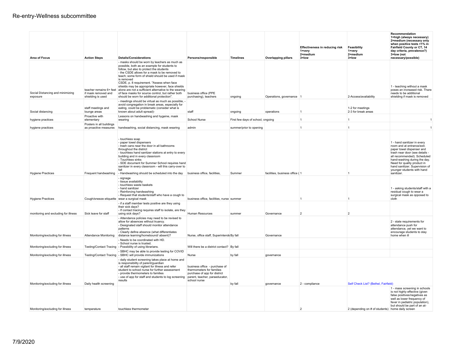| <b>Area of Focus</b>                 | <b>Action Steps</b>                            | <b>Details/Considerations</b>                                                                                                                                                                                                                                                                                                                                                                                                                                                | Persons/responsible                                                                                                                          | <b>Timelines</b>                  | <b>Overlapping pillars</b>     | <b>Effectiveness in reducing risk</b><br>1=very<br>2=medium<br>3=low | Feasibility<br>1=very<br>2=medium<br>3=low       | Recommendation<br>1=high (always necessary)<br>2=medium (necessary only<br>when positive tests >1% in<br>Fairfield County or CT, 14<br>day criteria, prevalence?)<br>3=low (not<br>necessary/possible)                                                                                 |
|--------------------------------------|------------------------------------------------|------------------------------------------------------------------------------------------------------------------------------------------------------------------------------------------------------------------------------------------------------------------------------------------------------------------------------------------------------------------------------------------------------------------------------------------------------------------------------|----------------------------------------------------------------------------------------------------------------------------------------------|-----------------------------------|--------------------------------|----------------------------------------------------------------------|--------------------------------------------------|----------------------------------------------------------------------------------------------------------------------------------------------------------------------------------------------------------------------------------------------------------------------------------------|
| Social Distancing and minimizing     | teacher remains 6+ feet<br>if mask removed and | - masks should be worn by teachers as much as<br>possible, both as an example for students to<br>follow, but also to protect the students<br>- the CSDE allows for a mask to be removed to<br>teach; some form of shield should be used if mask<br>is removed<br>CSDE, p. 8 requirement. "Assess when face<br>shields may be appropriate however, face shields<br>alone are not a sufficient alternative to the wearing<br>of face masks for source control, but rather both | business office (PPE                                                                                                                         |                                   |                                |                                                                      |                                                  | 1 - teaching without a mask<br>poses an increased risk. There<br>needs to be additional                                                                                                                                                                                                |
| exposure                             | shielding is used                              | should be worn for additional protection".<br>- meetings should be virtual as much as possible, -                                                                                                                                                                                                                                                                                                                                                                            | purchasing), teachers                                                                                                                        | ongoing                           | Operations, governance 1       |                                                                      | 2-Access/availability                            | shielding if mask is removed                                                                                                                                                                                                                                                           |
| Social distancing                    | staff meetings and<br>lounge areas             | avoid congregation in break areas, especially for<br>eating, could be problematic (consider what is<br>known about adult spread)-                                                                                                                                                                                                                                                                                                                                            | staff                                                                                                                                        | ongoing                           | operations                     | $\overline{1}$                                                       | 1-2 for meetings<br>2-3 for break areas          |                                                                                                                                                                                                                                                                                        |
| hygiene practices                    | Proactive with<br>elementary                   | Lessons on handwashing and hygeine, mask<br>wearing                                                                                                                                                                                                                                                                                                                                                                                                                          | School Nurse                                                                                                                                 | First few days of school, ongoing |                                | $\overline{1}$                                                       | $\overline{1}$                                   | $\overline{1}$                                                                                                                                                                                                                                                                         |
|                                      | Posters in all buildings                       |                                                                                                                                                                                                                                                                                                                                                                                                                                                                              |                                                                                                                                              |                                   |                                | $\overline{1}$                                                       | $\mathbf{1}$                                     | $\overline{1}$                                                                                                                                                                                                                                                                         |
| hygiene practices                    | as proactive measures                          | handwashing, social distancing, mask wearing<br>- touchless soap<br>- paper towel dispensers<br>- trash cans near the door in all bathrooms<br>throughout the district<br>- touchless hand sanitzer stations at entry to every<br>building and in every classroom<br>- Touchless sinks<br>- SDE document for Summer School requires hand<br>sanitizer in every classroom - will this carry-over to                                                                           | admin                                                                                                                                        | summer/prior to opening           |                                |                                                                      |                                                  | 1 - hand sanitizer in every<br>room and at entrance/exit.<br>paper towel dispenser and<br>trash near door (see details -<br>all recommended). Scheduled<br>hand-washing during the day.<br>Need for quality product in<br>hand sanitizer. Supervision of<br>younger students with hand |
| <b>Hygiene Practices</b>             | Frequent handwashing                           | - Handwashing should be scheduled into the day                                                                                                                                                                                                                                                                                                                                                                                                                               | business office, facilities,                                                                                                                 | Summer                            | facilities, business office (1 |                                                                      |                                                  | sanitizer.                                                                                                                                                                                                                                                                             |
| <b>Hygiene Practices</b>             | Cough/sneeze etiquette wear a surgical mask    | - signage<br>- tissue availability<br>- touchless waste baskets<br>- hand sanitizer<br>- Reinforcing handwashing<br>- Request that students/staff who have a cough to                                                                                                                                                                                                                                                                                                        | business office, facilities, nurse summer                                                                                                    |                                   |                                | -1                                                                   | -1                                               | 1 - asking students/staff with a<br>residual cough to wear a<br>surgical mask as opposed to<br>cloth                                                                                                                                                                                   |
|                                      |                                                | - if a staff member tests positive are they using<br>their sick days?                                                                                                                                                                                                                                                                                                                                                                                                        |                                                                                                                                              |                                   |                                |                                                                      |                                                  |                                                                                                                                                                                                                                                                                        |
| monitoring and excluding for illness | Sick leave for staff                           | - If contact tracing requires staff to isolate, are they<br>using sick days?                                                                                                                                                                                                                                                                                                                                                                                                 | Human Resources                                                                                                                              | summer                            | Governance                     | $\overline{2}$                                                       | $\overline{2}$                                   |                                                                                                                                                                                                                                                                                        |
| Monitoring/excluding for illness     | <b>Attendance Monitoring</b>                   | - Attendance policies may need to be revised to<br>allow for absences without truancy.<br>- Designated staff should monitor attendance<br>patterns<br>- Clearly define absence (what differentiates<br>distance learning/homebound/ absent)?                                                                                                                                                                                                                                 | Nurse, office staff, Superintende By fall                                                                                                    |                                   | Governance                     |                                                                      |                                                  | 2 - state requirements for<br>attendance push for<br>attendance, yet we want to<br>encourage students to stay<br>home when ill                                                                                                                                                         |
|                                      |                                                | - Needs to be coordinated with HD.                                                                                                                                                                                                                                                                                                                                                                                                                                           |                                                                                                                                              |                                   |                                |                                                                      |                                                  |                                                                                                                                                                                                                                                                                        |
| Monitoring/excluding for illness     | <b>Testing/Contact Tracing</b>                 | - School nurse is trusted.<br>- Possibility of using librarians.                                                                                                                                                                                                                                                                                                                                                                                                             | Will there be a district contact? By fall                                                                                                    |                                   |                                |                                                                      |                                                  |                                                                                                                                                                                                                                                                                        |
| Monitoring/excluding for illness     | <b>Testing/Contact Tracing</b>                 | SBHC may be able to provide testing for COVID<br>- SBHC will provide immunizations                                                                                                                                                                                                                                                                                                                                                                                           | Nurse                                                                                                                                        | by fall                           | governance                     |                                                                      |                                                  |                                                                                                                                                                                                                                                                                        |
|                                      |                                                | - daily student screening takes place at home and<br>is responsibility of parent/quardian<br>- all staff remain vigilant for illness and refer<br>student to school nurse for further assessment<br>- provide thermometers to families<br>- use of app for staff and students to log screening<br>results                                                                                                                                                                    | business office - purchase of<br>thermometers for families<br>purchase of app for district<br>parent, teacher, paraeducator,<br>school nurse |                                   |                                |                                                                      | Self Check List? (Bethel, Fairfield)             |                                                                                                                                                                                                                                                                                        |
| Monitoring/excluding for illness     | Daily health screening                         |                                                                                                                                                                                                                                                                                                                                                                                                                                                                              |                                                                                                                                              | by fall                           | governance                     | 2 - compliance                                                       |                                                  | 1 - mass screening in schools<br>is not highly effective (given<br>false positives/negatives as<br>well as lower frequency of<br>fever in pediatric population),<br>but should be part of an at-                                                                                       |
| Monitoring/excluding for illness     | temperature                                    | touchless thermometer                                                                                                                                                                                                                                                                                                                                                                                                                                                        |                                                                                                                                              |                                   |                                | $\mathcal{P}$                                                        | 2 (depending on # of students) home daily screen |                                                                                                                                                                                                                                                                                        |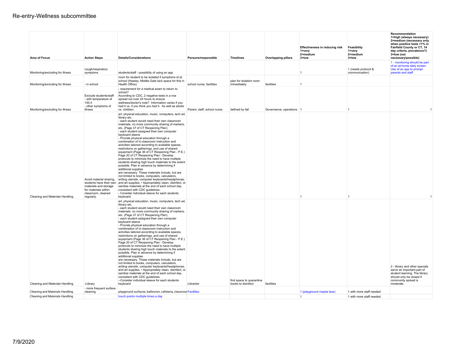| <b>Area of Focus</b>             | <b>Action Steps</b>                                                                                          | <b>Details/Considerations</b>                                                                                                                                                                                                                                                                                                                                                                                                                                                                                                                                                                                                                                                                                                                                                                                                                                                                                                                                                                                                                                                                                                                                 | Persons/responsible         | <b>Timelines</b>                               | <b>Overlapping pillars</b> | <b>Effectiveness in reducing risk</b><br>1=very<br>2=medium<br>$3 =$ low | Feasibility<br>1=very<br>2=medium<br>$3 =$ low | Recommendation<br>1=high (always necessary)<br>2=medium (necessary only<br>when positive tests >1% in<br>Fairfield County or CT, 14<br>day criteria, prevalence?)<br>3=low (not<br>necessary/possible) |
|----------------------------------|--------------------------------------------------------------------------------------------------------------|---------------------------------------------------------------------------------------------------------------------------------------------------------------------------------------------------------------------------------------------------------------------------------------------------------------------------------------------------------------------------------------------------------------------------------------------------------------------------------------------------------------------------------------------------------------------------------------------------------------------------------------------------------------------------------------------------------------------------------------------------------------------------------------------------------------------------------------------------------------------------------------------------------------------------------------------------------------------------------------------------------------------------------------------------------------------------------------------------------------------------------------------------------------|-----------------------------|------------------------------------------------|----------------------------|--------------------------------------------------------------------------|------------------------------------------------|--------------------------------------------------------------------------------------------------------------------------------------------------------------------------------------------------------|
| Monitoring/excluding for illness | cough/respiratory<br>symptoms                                                                                | students/staff - possibility of using an app                                                                                                                                                                                                                                                                                                                                                                                                                                                                                                                                                                                                                                                                                                                                                                                                                                                                                                                                                                                                                                                                                                                  |                             |                                                |                            |                                                                          | 1 (needs protocol &<br>communication)          | 1 - monitoring should be part<br>of an at-home daily screen.<br>Use of an app to prompt<br>parents and staff                                                                                           |
| Monitoring/excluding for illness | - in school                                                                                                  | room for student to be isolated if symptoms id at<br>school (Hawley, Middle Gate lack space for this in<br>Health Office).                                                                                                                                                                                                                                                                                                                                                                                                                                                                                                                                                                                                                                                                                                                                                                                                                                                                                                                                                                                                                                    | school nurse, facilities    | plan for isolation room<br>immediately         | facilities                 |                                                                          |                                                |                                                                                                                                                                                                        |
| Monitoring/excluding for illness | Exclude students/staff<br>- with temperature of<br>100.4<br>- other symptoms of<br>illness                   | - requirement for a medical exam to return to<br>school?<br>According to CDC, 2 negative tests in a row<br>spread out over 24 hours to ensure<br>wellness/doctor's note? Information varies if you<br>had it vs. if you think you had it. As well as adults<br>vs. children.                                                                                                                                                                                                                                                                                                                                                                                                                                                                                                                                                                                                                                                                                                                                                                                                                                                                                  | Parent, staff, school nurse | defined by fall                                | Governance, operations 1   |                                                                          |                                                |                                                                                                                                                                                                        |
| Cleaning and Materials Handling  | Avoid material sharing,<br>materials and storage<br>for materials within<br>classroom, cleaned<br>regularly. | art, physical education, music, computers, tech ed,<br>library etc.<br>- each student would need their own classroom<br>materials, no more community sharing of markers,<br>etc. (Page 37 of CT Reopening Plan)<br>- each student assigned their own computer<br>keyboard sleeve<br>- Provide physical education through a<br>combination of in-classroom instruction and<br>activities tailored according to available spaces,<br>restrictions on gatherings, and use of shared<br>equipment (Page 36 of CT Reopening Plan - P.E.)<br>Page 20 of CT Reopening Plan - Develop<br>protocols to minimize the need to have multiple<br>students sharing high touch materials to the extent<br>possible. Plan in advance by determining if<br>additional supplies<br>are necessary. These materials include, but are<br>not limited to books, computers, calculators,<br>writing utensils, computer keyboards/headphones,<br>students have their own and art supplies. • Appropriately clean, disinfect, or<br>sanitize materials at the end of each school day,<br>consistent with CDC quidelines.<br>- Consider individual sleeve for each students<br>keyboard |                             |                                                |                            |                                                                          |                                                |                                                                                                                                                                                                        |
| Cleaning and Materials Handling  | -Library                                                                                                     | art, physical education, music, computers, tech ed,<br>library etc.<br>- each student would need their own classroom<br>materials, no more community sharing of markers,<br>etc. (Page 37 of CT Reopening Plan)<br>- each student assigned their own computer<br>keyboard sleeve<br>- Provide physical education through a<br>combination of in-classroom instruction and<br>activities tailored according to available spaces,<br>restrictions on gatherings, and use of shared<br>equipment (Page 36 of CT Reopening Plan - P.E.)<br>Page 20 of CT Reopening Plan - Develop<br>protocols to minimize the need to have multiple<br>students sharing high touch materials to the extent<br>possible. Plan in advance by determining if<br>additional supplies<br>are necessary. These materials include, but are<br>not limited to books, computers, calculators,<br>writing utensils, computer keyboards/headphones,<br>and art supplies. • Appropriately clean, disinfect, or<br>sanitize materials at the end of each school day,<br>consistent with CDC guidelines.<br>--Consider individual sleeve for each students<br>keyboard                         | Librarian                   | find space to quarantine<br>books to disinfect | facilities                 |                                                                          |                                                | 2 - library and other specials<br>serve an important part of<br>student learning. The library<br>should only be closed if<br>community spread is<br>moderate.                                          |
| Cleaning and Materials Handling  | - more frequent surface<br>cleaning                                                                          | playground surfaces, bathroom, cafeteria, classroon Facilities                                                                                                                                                                                                                                                                                                                                                                                                                                                                                                                                                                                                                                                                                                                                                                                                                                                                                                                                                                                                                                                                                                |                             |                                                |                            | 1 (playground maybe less)                                                | 1 with more staff needed                       |                                                                                                                                                                                                        |
| Cleaning and Materials Handling  |                                                                                                              | touch points multiple times a day                                                                                                                                                                                                                                                                                                                                                                                                                                                                                                                                                                                                                                                                                                                                                                                                                                                                                                                                                                                                                                                                                                                             |                             |                                                |                            | $\overline{1}$                                                           | 1 with more staff needed                       |                                                                                                                                                                                                        |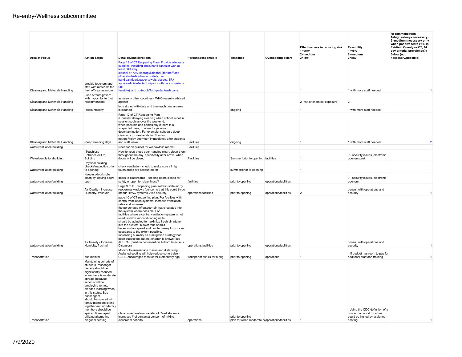| Area of Focus                   | <b>Action Steps</b>                                                                                                                                                                                                                                                                                                                                                                             | <b>Details/Considerations</b>                                                                                                                                                                                                                                                                                                                                                                                                                                                                                                                                                                                                                                           | Persons/responsible          | <b>Timelines</b>                               | <b>Overlapping pillars</b> | Effectiveness in reducing risk<br>1=very<br>2=medium<br>3=low | Feasibility<br>1=very<br>2=medium<br>$3 =$ low                                               | Recommendation<br>1=high (always necessary)<br>2=medium (necessary only<br>when positive tests >1% in<br>Fairfield County or CT, 14<br>day criteria, prevalence?)<br>3=low (not<br>necessary/possible) |
|---------------------------------|-------------------------------------------------------------------------------------------------------------------------------------------------------------------------------------------------------------------------------------------------------------------------------------------------------------------------------------------------------------------------------------------------|-------------------------------------------------------------------------------------------------------------------------------------------------------------------------------------------------------------------------------------------------------------------------------------------------------------------------------------------------------------------------------------------------------------------------------------------------------------------------------------------------------------------------------------------------------------------------------------------------------------------------------------------------------------------------|------------------------------|------------------------------------------------|----------------------------|---------------------------------------------------------------|----------------------------------------------------------------------------------------------|--------------------------------------------------------------------------------------------------------------------------------------------------------------------------------------------------------|
|                                 |                                                                                                                                                                                                                                                                                                                                                                                                 | Page 18 of CT Reopening Plan - Provide adequate                                                                                                                                                                                                                                                                                                                                                                                                                                                                                                                                                                                                                         |                              |                                                |                            |                                                               |                                                                                              |                                                                                                                                                                                                        |
| Cleaning and Materials Handling | provide teachers and<br>staff with materials for<br>their office/classroom.                                                                                                                                                                                                                                                                                                                     | supplies, including soap, hand sanitizer with at<br>least 60% ethyl<br>alcohol or 70% isopropyl alcohol (for staff and<br>older students who can safely use<br>hand sanitizer), paper towels, tissues, EPA<br>approved disinfectant wipes, cloth face coverings<br>(as<br>feasible), and no-touch/foot-pedal trash cans.                                                                                                                                                                                                                                                                                                                                                |                              |                                                |                            | $\mathbf{1}$                                                  | 1 with more staff needed                                                                     | $\overline{1}$                                                                                                                                                                                         |
| Cleaning and Materials Handling | - use of "fumigation"<br>with hypochlorite (not<br>recommended)                                                                                                                                                                                                                                                                                                                                 | as seen in other countries - WHO recently advised<br>against                                                                                                                                                                                                                                                                                                                                                                                                                                                                                                                                                                                                            |                              |                                                |                            | 2 (risk of chemical exposure)                                 | $\overline{2}$                                                                               |                                                                                                                                                                                                        |
| Cleaning and Materials Handling | -accountability                                                                                                                                                                                                                                                                                                                                                                                 | logs signed with date and time each time an area<br>is cleaned                                                                                                                                                                                                                                                                                                                                                                                                                                                                                                                                                                                                          |                              | ongoing                                        |                            | 1                                                             | 1 with more staff needed                                                                     |                                                                                                                                                                                                        |
|                                 |                                                                                                                                                                                                                                                                                                                                                                                                 | Page 12 of CT Reopening Plan<br>-Consider delaying cleaning when school is not in<br>session such as over the weekend.<br>when possible and particularly if there is a<br>suspected case, to allow for passive<br>decontamination. For example, schedule deep<br>cleanings on weekends for Sunday,<br>not on Friday afternoon immediately after students                                                                                                                                                                                                                                                                                                                |                              |                                                |                            |                                                               |                                                                                              |                                                                                                                                                                                                        |
| Cleaning and Materials Handling | -deep cleaning days                                                                                                                                                                                                                                                                                                                                                                             | and staff leave.                                                                                                                                                                                                                                                                                                                                                                                                                                                                                                                                                                                                                                                        | Facilities                   | ongoing                                        |                            | $\overline{1}$                                                | 1 with more staff needed                                                                     | $\overline{2}$                                                                                                                                                                                         |
| water/ventilation/building      |                                                                                                                                                                                                                                                                                                                                                                                                 | Need for air purifier for windowless rooms?                                                                                                                                                                                                                                                                                                                                                                                                                                                                                                                                                                                                                             | Facilities                   |                                                |                            |                                                               |                                                                                              |                                                                                                                                                                                                        |
| Water/ventilation/building      | -Touchless<br>Entrance/exit to<br>Building                                                                                                                                                                                                                                                                                                                                                      | How to keep these door handles clean, clean them<br>throughout the day, specifically after arrival when<br>doors will be closed.                                                                                                                                                                                                                                                                                                                                                                                                                                                                                                                                        | Facilities                   | Summer/prior to opening facilities             |                            |                                                               | ? - security issues, electronic<br>openers.cost                                              |                                                                                                                                                                                                        |
| water/ventilation/building      | Physical building<br>checks/inspectios prior<br>to opening                                                                                                                                                                                                                                                                                                                                      | check ventilation, check to make sure all high<br>touch areas are accounted for                                                                                                                                                                                                                                                                                                                                                                                                                                                                                                                                                                                         |                              | summer/prior to opening                        |                            | 1                                                             |                                                                                              |                                                                                                                                                                                                        |
| water/ventilation/building      | Keeping doorknobs<br>clean by leaving doors<br>open                                                                                                                                                                                                                                                                                                                                             | doors to classrooms - keeping doors closed for<br>safety or open for cleanliness?                                                                                                                                                                                                                                                                                                                                                                                                                                                                                                                                                                                       | facilities                   | prior to opening                               | operations/facilities      | $\mathbf{1}$                                                  | ? - security issues, electronic<br>openers                                                   |                                                                                                                                                                                                        |
| water/ventilation/building      | Air Quality - Increase<br>Humidity, fresh air                                                                                                                                                                                                                                                                                                                                                   | Page 9 of CT reopening plan: refresh stale air by<br>reopening windows (concerns that this could throw<br>off our HVAC systems. Also security)                                                                                                                                                                                                                                                                                                                                                                                                                                                                                                                          | operations/facilities        | prior to opening                               | operations/facilities      | $\overline{2}$                                                | consult with operations and<br>security                                                      | $\overline{1}$                                                                                                                                                                                         |
| water/ventilation/building      | Air Quality - Increase<br>Humidity, fresh air                                                                                                                                                                                                                                                                                                                                                   | page 10 of CT reopening plan: For facilities with<br>central ventilation systems, increase ventilation<br>rates and increase<br>the percentage of outdoor air that circulates into<br>the system where possible. For<br>facilities where a central ventilation system is not<br>used, window air conditioning units<br>should be adjusted to maximize fresh air intake<br>into the system, blower fans should<br>be set on low speed and pointed away from room<br>occupants to the extent possible.<br>Increasing humidity as a mitigation strategy has<br>been suggested, but not enough is known (see<br>ASHRAE position document on Airborn Infectious<br>Diseases) | operations/facilities        | prior to opening                               | operations/facilities      |                                                               | consult with operations and<br>security                                                      | $\overline{1}$                                                                                                                                                                                         |
|                                 |                                                                                                                                                                                                                                                                                                                                                                                                 | Monitor to ensure face masks and distancing.                                                                                                                                                                                                                                                                                                                                                                                                                                                                                                                                                                                                                            |                              |                                                |                            |                                                               |                                                                                              |                                                                                                                                                                                                        |
| Transportation                  | bus monitor                                                                                                                                                                                                                                                                                                                                                                                     | Assigned seating will help reduce cohort size -<br>CSDE encourages monitor for elementary age                                                                                                                                                                                                                                                                                                                                                                                                                                                                                                                                                                           | transportation/HR for hiring | prior to opening                               | operations                 |                                                               | 1 if budget has room to pay for<br>additonal staff and training                              | $\overline{1}$                                                                                                                                                                                         |
|                                 | Maintaining cohorts of<br>students Passenger<br>density should be<br>significantly reduced<br>when there is moderate<br>spread, because<br>schools will be<br>employing remote<br>blended learning when<br>in this status. Bus<br>passengers<br>should be spaced with<br>family members sitting<br>together and non-family<br>members should be<br>spaced 6 feet apart<br>utilizing alternating | - bus consideration (transfer of Reed students<br>increases # of contacts) concern of mixing                                                                                                                                                                                                                                                                                                                                                                                                                                                                                                                                                                            |                              | prior to opening                               |                            |                                                               | 1Using the CDC definition of a<br>contact, a cohort on a bus<br>could be limited by assigned |                                                                                                                                                                                                        |
| Transportation                  | diagonal seating.                                                                                                                                                                                                                                                                                                                                                                               | classroom cohorts                                                                                                                                                                                                                                                                                                                                                                                                                                                                                                                                                                                                                                                       | operations                   | plan for when moderate c operations/facilities |                            | -1                                                            | seating                                                                                      | $\overline{1}$                                                                                                                                                                                         |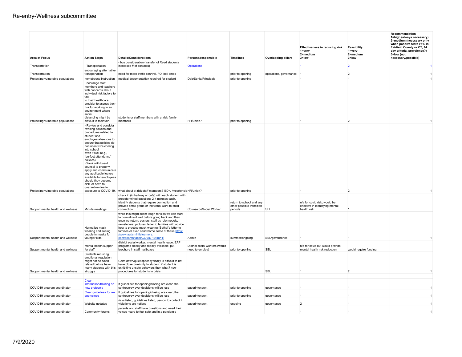| Area of Focus                      | <b>Action Steps</b>                                                                                                                                                                                                                                                                                                                                                                                                                    | <b>Details/Considerations</b>                                                                                                                                                                                                                                                                                                                                                          | Persons/responsible                               | <b>Timelines</b>                                                 | <b>Overlapping pillars</b> | <b>Effectiveness in reducing risk</b><br>1=very<br>2=medium<br>$3 =$ low       | Feasibility<br>$1 = \text{very}$<br>2=medium<br>$3 =$ low | Recommendation<br>1=high (always necessary)<br>2=medium (necessary only<br>when positive tests >1% in<br>Fairfield County or CT, 14<br>day criteria, prevalence?)<br>3=low (not<br>necessary/possible) |
|------------------------------------|----------------------------------------------------------------------------------------------------------------------------------------------------------------------------------------------------------------------------------------------------------------------------------------------------------------------------------------------------------------------------------------------------------------------------------------|----------------------------------------------------------------------------------------------------------------------------------------------------------------------------------------------------------------------------------------------------------------------------------------------------------------------------------------------------------------------------------------|---------------------------------------------------|------------------------------------------------------------------|----------------------------|--------------------------------------------------------------------------------|-----------------------------------------------------------|--------------------------------------------------------------------------------------------------------------------------------------------------------------------------------------------------------|
| Transportation                     | - Transportation                                                                                                                                                                                                                                                                                                                                                                                                                       | - bus consideration (transfer of Reed students<br>increases # of contacts)                                                                                                                                                                                                                                                                                                             | <b>Operations</b>                                 |                                                                  |                            | 1                                                                              | $\overline{2}$                                            | $\mathbf{1}$                                                                                                                                                                                           |
| Transportation                     | encouraging alternative<br>transportation                                                                                                                                                                                                                                                                                                                                                                                              | need for more traffic conrtrol. PD, bell times                                                                                                                                                                                                                                                                                                                                         |                                                   | prior to opening                                                 | operations, governance     | $\vert$ 1                                                                      | $\overline{2}$                                            | $\mathbf{1}$                                                                                                                                                                                           |
| Protecting vulnerable populations  | homebound instruction                                                                                                                                                                                                                                                                                                                                                                                                                  | medical documentation required for student                                                                                                                                                                                                                                                                                                                                             | Deb/Sonia/Principals                              | prior to opening                                                 |                            | 1                                                                              | $\mathbf{1}$                                              | $\overline{1}$                                                                                                                                                                                         |
|                                    | Encourage staff<br>members and teachers<br>with concerns about<br>individual risk factors to<br>talk<br>to their healthcare<br>provider to assess their<br>risk for working in an<br>environment where<br>social<br>distancing might be                                                                                                                                                                                                | students or staff members with at risk family                                                                                                                                                                                                                                                                                                                                          |                                                   |                                                                  |                            |                                                                                |                                                           |                                                                                                                                                                                                        |
| Protecting vulnerable populations  | difficult to maintain.                                                                                                                                                                                                                                                                                                                                                                                                                 | members                                                                                                                                                                                                                                                                                                                                                                                | HR/union?                                         | prior to opening                                                 |                            |                                                                                | $\overline{2}$                                            |                                                                                                                                                                                                        |
|                                    | • Review and consider<br>revising policies and<br>procedures related to<br>student and<br>employee absences to<br>ensure that policies do<br>not incentivize coming<br>into school<br>even if sick (e.g.<br>"perfect attendance"<br>policies).<br>• Work with board<br>counsel to properly<br>apply and communicate<br>any applicable leaves<br>available for employees<br>should they become<br>sick, or have to<br>quarantine due to |                                                                                                                                                                                                                                                                                                                                                                                        |                                                   |                                                                  |                            |                                                                                |                                                           |                                                                                                                                                                                                        |
| Protecting vulnerable populations  |                                                                                                                                                                                                                                                                                                                                                                                                                                        | exposure to COVID-19. what about at risk staff members? (60+, hypertensic HR/union?                                                                                                                                                                                                                                                                                                    |                                                   | prior to opening                                                 |                            |                                                                                | $\overline{2}$                                            |                                                                                                                                                                                                        |
| Support mental health and wellness | Minute meetings                                                                                                                                                                                                                                                                                                                                                                                                                        | check in (in hallway or cafe) with each student with<br>predetermined questions 2-4 minutes each.<br>identify students that require connection and<br>provide small group or individual work to build<br>connection                                                                                                                                                                    | Counselor/Social Worker                           | return to school and any<br>other possible transition<br>periods | <b>SEL</b>                 | n/a for covid risk, would be<br>effective in identifying mental<br>health risk | $\overline{1}$                                            |                                                                                                                                                                                                        |
| Support mental health and wellness | Normalize mask<br>wearing and seeing<br>people in masks for<br>younger kids                                                                                                                                                                                                                                                                                                                                                            | while this might seem tough for kids we can start<br>to normalize it well before going back and then<br>once we return: posters, staff as role models,<br>newsletters, pictures, letter to families with advice<br>how to practice mask wearing (Bethel's letter to<br>families or even send home some of these https:<br>//www.autismlittlelearners<br>com/search/label/COVID-19?m=1) | Admin                                             | summer/ongoing                                                   | SEL/governance             | $\overline{1}$                                                                 | $\overline{1}$                                            | $\mathbf{1}$                                                                                                                                                                                           |
|                                    |                                                                                                                                                                                                                                                                                                                                                                                                                                        | district social worker, mental health leave, EAP                                                                                                                                                                                                                                                                                                                                       |                                                   |                                                                  |                            |                                                                                |                                                           |                                                                                                                                                                                                        |
| Support mental health and wellness | mental health support<br>for staff                                                                                                                                                                                                                                                                                                                                                                                                     | programs clearly and readily available, put<br>brochure in staff mailboxes                                                                                                                                                                                                                                                                                                             | District social workers (would<br>need to employ) | prior to opening                                                 | <b>SEL</b>                 | n/a for covid but would provide<br>mental health risk reduction                | would require funding                                     |                                                                                                                                                                                                        |
| Support mental health and wellness | Students requiring<br>emotional regulation<br>might not be covid<br>related but we have<br>many students with this<br>struggle                                                                                                                                                                                                                                                                                                         | Calm down/quiet space typically is difficult to not<br>have close proximity to student. if student is<br>exhibiting unsafe behaviors then what? new<br>procedures for students in crisis.                                                                                                                                                                                              |                                                   |                                                                  | <b>SEL</b>                 | $\overline{1}$                                                                 | $\overline{2}$                                            | $\overline{1}$                                                                                                                                                                                         |
|                                    | Clear<br>information/training on                                                                                                                                                                                                                                                                                                                                                                                                       | If guidelines for opening/closing are clear, the                                                                                                                                                                                                                                                                                                                                       |                                                   |                                                                  |                            |                                                                                |                                                           |                                                                                                                                                                                                        |
| COVID19 program coordinator        | new protocols                                                                                                                                                                                                                                                                                                                                                                                                                          | controversy over decisions will be less                                                                                                                                                                                                                                                                                                                                                | superintendent                                    | prior to opening                                                 | governance                 | $\overline{1}$                                                                 | $\mathbf{1}$                                              | $\overline{1}$                                                                                                                                                                                         |
| COVID19 program coordinator        | Clear guidelines for re-<br>open/close                                                                                                                                                                                                                                                                                                                                                                                                 | If quidelines for opening/closing are clear, the<br>controversy over decisions will be less                                                                                                                                                                                                                                                                                            | superintendent                                    | prior to opening                                                 | governance                 | $\overline{1}$                                                                 | $\overline{1}$                                            | $\mathbf{1}$                                                                                                                                                                                           |
| COVID19 program coordinator        | Website updates                                                                                                                                                                                                                                                                                                                                                                                                                        | risks listed, guidelines listed, person to contact if<br>violations are noticed                                                                                                                                                                                                                                                                                                        | superintendent                                    | ongoing                                                          | governance                 | $\overline{2}$                                                                 | $\overline{1}$                                            | $\overline{1}$                                                                                                                                                                                         |
| COVID19 program coordinator        | Community forums                                                                                                                                                                                                                                                                                                                                                                                                                       | parents and staff have questions and need their<br>voices heard to feel safe and in a pandemic                                                                                                                                                                                                                                                                                         |                                                   |                                                                  |                            | $\overline{1}$                                                                 | $\mathbf{1}$                                              | $\overline{1}$                                                                                                                                                                                         |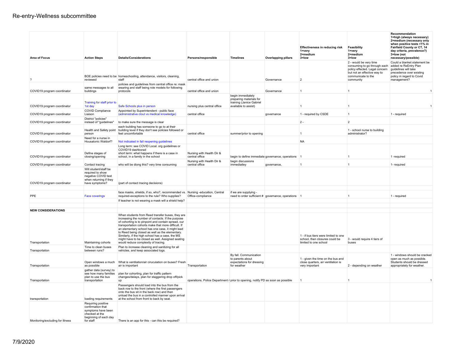|                                                            |                                                                                                                       |                                                                                                                                                                                                                                                                                                                                                                                                                                                                            |                                                                                                   |                                                                          |                                                   | <b>Effectiveness in reducing risk</b><br>1=verv<br>2=medium                                     | Feasibility<br>1=verv<br>2=medium                                                                                                    | Recommendation<br>1=high (always necessary)<br>2=medium (necessary only<br>when positive tests >1% in<br>Fairfield County or CT, 14<br>day criteria, prevalence?)<br>3=low (not |
|------------------------------------------------------------|-----------------------------------------------------------------------------------------------------------------------|----------------------------------------------------------------------------------------------------------------------------------------------------------------------------------------------------------------------------------------------------------------------------------------------------------------------------------------------------------------------------------------------------------------------------------------------------------------------------|---------------------------------------------------------------------------------------------------|--------------------------------------------------------------------------|---------------------------------------------------|-------------------------------------------------------------------------------------------------|--------------------------------------------------------------------------------------------------------------------------------------|---------------------------------------------------------------------------------------------------------------------------------------------------------------------------------|
| <b>Area of Focus</b>                                       | <b>Action Steps</b>                                                                                                   | <b>Details/Considerations</b>                                                                                                                                                                                                                                                                                                                                                                                                                                              | Persons/responsible                                                                               | <b>Timelines</b>                                                         | <b>Overlapping pillars</b>                        | 3=low                                                                                           | $3 =$ low<br>2 - would be very time<br>consuming to go through each<br>policy effected. Legal concern<br>but not an effective way to | necessary/possible)<br>Could a blanket statement be<br>added re ReEntry Plan<br>quidelines will take<br>precedence over existing                                                |
| ?                                                          | reviewed                                                                                                              | BOE policies need to be homeschooling, attendance, visitors, cleaning,<br>staff                                                                                                                                                                                                                                                                                                                                                                                            | central office and union                                                                          |                                                                          | Governance                                        | $\overline{2}$                                                                                  | communicate to the<br>community                                                                                                      | policy in regard to Covid<br>management?                                                                                                                                        |
| COVID19 program coordinator                                | same messages to all<br>buildings                                                                                     | policies and quidelines from central office re: mask<br>wearing and staff being role models for following<br>protocols                                                                                                                                                                                                                                                                                                                                                     | central office and union                                                                          |                                                                          | Governance                                        | $\mathbf{1}$                                                                                    | -1.                                                                                                                                  | $\mathbf{1}$                                                                                                                                                                    |
|                                                            | Training for staff prior to                                                                                           |                                                                                                                                                                                                                                                                                                                                                                                                                                                                            |                                                                                                   | begin immediately<br>preparing materials for<br>training (Janice Gabriel |                                                   |                                                                                                 |                                                                                                                                      |                                                                                                                                                                                 |
| COVID19 program coordinator<br>COVID19 program coordinator | 1st day<br>COVID Compliance<br>Liaison                                                                                | Safe Schools plus in person<br>Appointed by Superintendent - public face<br>(administrative clout vs medical knowledge)                                                                                                                                                                                                                                                                                                                                                    | nursing plus central office<br>central office                                                     | available to assist)                                                     | governance                                        | 1<br>1 - required by CSDE                                                                       | $\mathbf{1}$<br>$\mathbf{1}$                                                                                                         | $\overline{1}$<br>1 - required                                                                                                                                                  |
| COVID19 program coordinator                                | District "policies"<br>instead of "quidelines"                                                                        | to make sure the message is clear                                                                                                                                                                                                                                                                                                                                                                                                                                          |                                                                                                   |                                                                          |                                                   | $2 -$                                                                                           | $\overline{2}$                                                                                                                       |                                                                                                                                                                                 |
| COVID19 program coordinator                                | Health and Safety point<br>person                                                                                     | each building has someone to go to at their<br>building level if they don't see policies followed or<br>feel uncomfortable                                                                                                                                                                                                                                                                                                                                                 | central office                                                                                    | summer/prior to opening                                                  |                                                   | $\mathbf{1}$                                                                                    | 1 - school nurse to building<br>administrator?                                                                                       |                                                                                                                                                                                 |
| COVID19 program coordinator                                | Need for a nurse in<br>Housatonic Waldorf?                                                                            | Not indicated in fall reopening guidelines                                                                                                                                                                                                                                                                                                                                                                                                                                 |                                                                                                   |                                                                          |                                                   | <b>NA</b>                                                                                       |                                                                                                                                      |                                                                                                                                                                                 |
| COVID19 program coordinator                                | Define stages of<br>closing/opening                                                                                   | Long term: see COVID Local. org guidelines or<br>COVID19 dashborad<br>short term: what happens if there is a case in<br>school, in a family in the school                                                                                                                                                                                                                                                                                                                  | Nursing with Health Dir &<br>central office                                                       | begin to define immediate governance, operations                         |                                                   |                                                                                                 |                                                                                                                                      | 1-required                                                                                                                                                                      |
| COVID19 program coordinator                                | Contact tracing                                                                                                       | who will be diong this? very time consuming                                                                                                                                                                                                                                                                                                                                                                                                                                | Nursing with Health Dir &<br>central office                                                       | begin discussions<br>immediatley                                         | governance.                                       | 1                                                                                               |                                                                                                                                      | 1- required                                                                                                                                                                     |
| COVID19 program coordinator                                | Will student/staff be<br>required to show<br>negative COVID test<br>when returning if they<br>have symptoms?          | (part of contact tracing decisions)                                                                                                                                                                                                                                                                                                                                                                                                                                        |                                                                                                   |                                                                          |                                                   |                                                                                                 |                                                                                                                                      |                                                                                                                                                                                 |
| PPE                                                        | <b>Face coverings</b>                                                                                                 | face masks, shields, if so, who?, recommended vs. Nursing -education, Central<br>required-exceptions to the rule? Who supplies?                                                                                                                                                                                                                                                                                                                                            | Office-compliance                                                                                 | if we are supplying -                                                    | need to order sufficient # governance, operations |                                                                                                 |                                                                                                                                      | 1 - required                                                                                                                                                                    |
|                                                            |                                                                                                                       | If teacher is not wearing a mask will a shield help?                                                                                                                                                                                                                                                                                                                                                                                                                       |                                                                                                   |                                                                          |                                                   |                                                                                                 |                                                                                                                                      |                                                                                                                                                                                 |
| <b>NEW CONSIDERATIONS</b>                                  |                                                                                                                       |                                                                                                                                                                                                                                                                                                                                                                                                                                                                            |                                                                                                   |                                                                          |                                                   |                                                                                                 |                                                                                                                                      |                                                                                                                                                                                 |
| Transportation                                             | Maintaining cohorts                                                                                                   | When students from Reed transfer buses, they are<br>increasing the number of contacts. If the purpose<br>of cohorting is to pinpoint and contain spread, our<br>transportation cohorts make that more difficult. If<br>an elementary school has one case, it might lead<br>to Reed being closed as well as the elementary.<br>Similarly, if the high school has a case, the MS<br>might have to be closed as well. Assigned seating<br>would reduce complexity of tracing. |                                                                                                   |                                                                          |                                                   | 1 - if bus tiers were limited to one<br>school, then closures could be<br>limited to one school | 3 - would require 4 tiers of<br>buses                                                                                                |                                                                                                                                                                                 |
| Transportation                                             | Time to clean buses<br>between runs?                                                                                  | Plan to increase cleaning and sanitizing for all<br>vehicles, and keep associated logs.                                                                                                                                                                                                                                                                                                                                                                                    |                                                                                                   |                                                                          |                                                   |                                                                                                 |                                                                                                                                      |                                                                                                                                                                                 |
|                                                            | Open windows a much                                                                                                   | What is ventilation/air ciruculation on buses? Fresh                                                                                                                                                                                                                                                                                                                                                                                                                       |                                                                                                   | By fall. Communication<br>to parents about<br>expectations for dressing  |                                                   | 1 - given the time on the bus and<br>close quarters, air ventilation is                         |                                                                                                                                      | 1 - windows should be cracked<br>open as much as possible.<br>Students should be dressed                                                                                        |
| Transportation<br>Transportation                           | as possible<br>gather data (survey) to<br>see how many families<br>plan to use the bus<br>transportation              | air is important<br>plan for cohorting, plan for traffic pattern<br>changes/delays, plan for staggering drop off/pick<br><b>UD</b>                                                                                                                                                                                                                                                                                                                                         | Transportation<br>operations, Police Department r prior to opening, notify PD as soon as possible | for weather                                                              |                                                   | very important<br>$\overline{1}$                                                                | 2 - depending on weather                                                                                                             | appropriately for weather.<br>$\overline{1}$                                                                                                                                    |
| transportation                                             | loading requirements                                                                                                  | Passengers should load into the bus from the<br>back row to the front (where the first passengers<br>onto the bus sit in the back row) and then<br>unload the bus in a controlled manner upon arrival<br>at the school from front to back by seat.                                                                                                                                                                                                                         |                                                                                                   |                                                                          |                                                   |                                                                                                 |                                                                                                                                      |                                                                                                                                                                                 |
| Monitoring/excluding for illness                           | Requiring positive<br>confirmation that<br>symptoms have been<br>checked at the<br>beginning of each day<br>for staff | There is an app for this - can this be required?                                                                                                                                                                                                                                                                                                                                                                                                                           |                                                                                                   |                                                                          |                                                   |                                                                                                 |                                                                                                                                      |                                                                                                                                                                                 |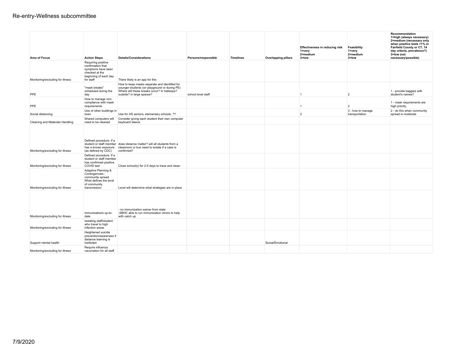| <b>Area of Focus</b>             | <b>Action Steps</b>                                                                                                                                                               | <b>Details/Considerations</b>                                                                                                                                              | Persons/responsible | <b>Timelines</b> | <b>Overlapping pillars</b> | Effectiveness in reducing risk<br>1=very<br>2=medium<br>$3 =$ low | Feasibility<br>$1 = v$ ery<br>2=medium<br>$3 =$ low | Recommendation<br>1=high (always necessary)<br>2=medium (necessary only<br>when positive tests >1% in<br>Fairfield County or CT, 14<br>day criteria, prevalence?)<br>3=low (not<br>necessary/possible) |
|----------------------------------|-----------------------------------------------------------------------------------------------------------------------------------------------------------------------------------|----------------------------------------------------------------------------------------------------------------------------------------------------------------------------|---------------------|------------------|----------------------------|-------------------------------------------------------------------|-----------------------------------------------------|--------------------------------------------------------------------------------------------------------------------------------------------------------------------------------------------------------|
| Monitoring/excluding for illness | Requiring positive<br>confirmation that<br>symptoms have been<br>checked at the<br>beginning of each day<br>for staff                                                             | There likely is an app for this                                                                                                                                            |                     |                  |                            |                                                                   |                                                     |                                                                                                                                                                                                        |
| PPE                              | "mask breaks"<br>scheduled during the<br>day                                                                                                                                      | How to keep masks separate and identified for<br>younger students (on playground or during PE)<br>Where will these breaks occur? In hallways?<br>outside? in large spaces? | school level staff  |                  |                            | 1                                                                 | $\overline{2}$                                      | 1 - provide baggies with<br>student's names?                                                                                                                                                           |
| <b>PPE</b>                       | How to manage non-<br>compliance with mask<br>requirements                                                                                                                        |                                                                                                                                                                            |                     |                  |                            |                                                                   | $\overline{2}$                                      | 1 - mask requirements are<br>high priority.                                                                                                                                                            |
| Social distancing                | Use of other buildings in<br>town                                                                                                                                                 | Use for HS seniors, elementary schools, ??                                                                                                                                 |                     |                  |                            | $\overline{2}$                                                    | 3 - how to manage<br>transportation                 | 2 - do this when community<br>spread is moderate                                                                                                                                                       |
| Cleaning and Materials Handling  | Shared computers will<br>need to be cleaned                                                                                                                                       | Consider giving each student their own computer<br>keyboard sleeve                                                                                                         |                     |                  |                            |                                                                   |                                                     |                                                                                                                                                                                                        |
| Monitoring/excluding for illness | Defined procedure: If a<br>student or staff member<br>has a known exposure<br>(as defined by CDC)<br>Defined procedure: If a<br>student or staff member<br>has confirmed positive | does distance matter? will all students from a<br>classroom or bus need to isolate if a case is<br>confirmed?                                                              |                     |                  |                            |                                                                   |                                                     |                                                                                                                                                                                                        |
| Monitoring/excluding for illness | COVID test<br>Adaptive Planning &                                                                                                                                                 | Close school(s) for 2-5 days to trace and clean                                                                                                                            |                     |                  |                            |                                                                   |                                                     |                                                                                                                                                                                                        |
| Monitoring/excluding for illness | Contingencies -<br>community spread<br>What defines the level<br>of community<br>transmission                                                                                     | Level will determine what strategies are in place                                                                                                                          |                     |                  |                            |                                                                   |                                                     |                                                                                                                                                                                                        |
| Monitoring/excluding for illness | immunizations up-to-<br>date                                                                                                                                                      | - no immunization waiver from state<br>-SBHC able to run immunization clinics to help<br>with catch up                                                                     |                     |                  |                            |                                                                   |                                                     |                                                                                                                                                                                                        |
| Monitoring/excluding for illness | Isolating staff/student<br>who travel to high<br>infection areas                                                                                                                  |                                                                                                                                                                            |                     |                  |                            |                                                                   |                                                     |                                                                                                                                                                                                        |
| Support mental health            | Heightened suicide<br>prevention/awareness if<br>distance learning is<br>instituted                                                                                               |                                                                                                                                                                            |                     |                  | Social/Emotional           |                                                                   |                                                     |                                                                                                                                                                                                        |
| Monitoring/excluding for illness | Require influenza<br>vaccination for all staff                                                                                                                                    |                                                                                                                                                                            |                     |                  |                            |                                                                   |                                                     |                                                                                                                                                                                                        |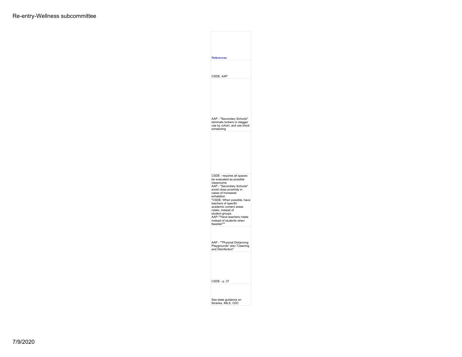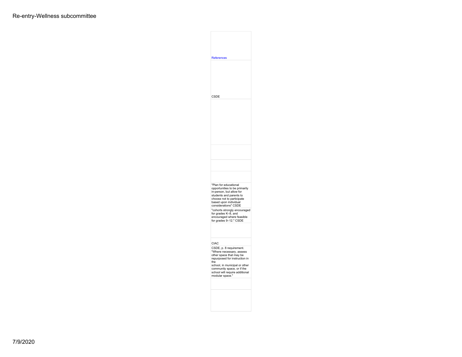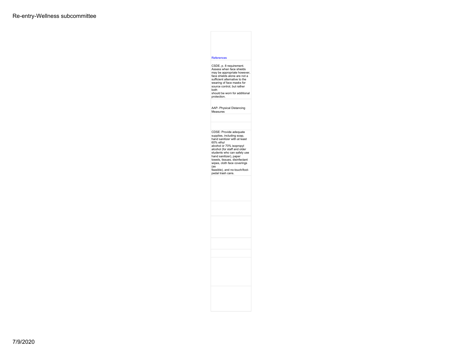## References CSDE, p. 8 requirement.<br>Assess when face shields may be appropriate however,<br>face shields alone are not a<br>sufficient alternative to the wearing of face masks for source control, but rather both should be worn for additional protection. AAP- Physical Distancing Measures CDSE: Provide adequate supplies, including soap, hand sanitizer with at least 60% ethyl alcohol or 70% isopropyl alcohol (for staff and older students who can safely use hand sanitizer), paper towels, tissues, disinfectant wipes, cloth face coverings (as feasible), and no-touch/footpedal trash cans.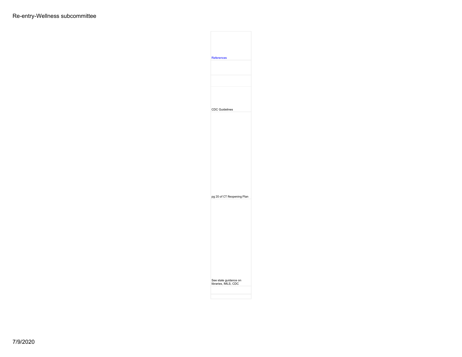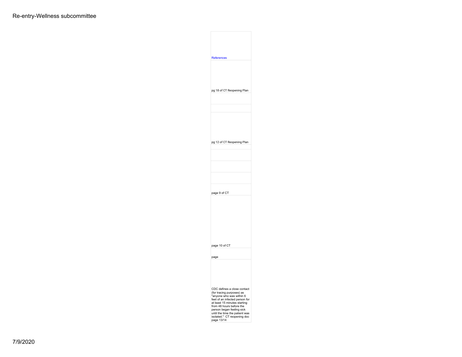| References                                                                                                                                                                                                                                                                                     |  |
|------------------------------------------------------------------------------------------------------------------------------------------------------------------------------------------------------------------------------------------------------------------------------------------------|--|
|                                                                                                                                                                                                                                                                                                |  |
| pg 18 of CT Reopening Plan                                                                                                                                                                                                                                                                     |  |
|                                                                                                                                                                                                                                                                                                |  |
|                                                                                                                                                                                                                                                                                                |  |
| pg 12 of CT Reopening Plan                                                                                                                                                                                                                                                                     |  |
|                                                                                                                                                                                                                                                                                                |  |
|                                                                                                                                                                                                                                                                                                |  |
|                                                                                                                                                                                                                                                                                                |  |
| page 9 of CT                                                                                                                                                                                                                                                                                   |  |
|                                                                                                                                                                                                                                                                                                |  |
| page 10 of CT                                                                                                                                                                                                                                                                                  |  |
| page                                                                                                                                                                                                                                                                                           |  |
|                                                                                                                                                                                                                                                                                                |  |
| CDC defines a close contact<br>(for tracing purposes) as<br>"anyone who was within 6<br>feet of an infected person for<br>at least 15 minutes starting<br>from 48 hours before the<br>person began feeling sick<br>until the time the patient was<br>isolated." CT reopening doc<br>page 13/14 |  |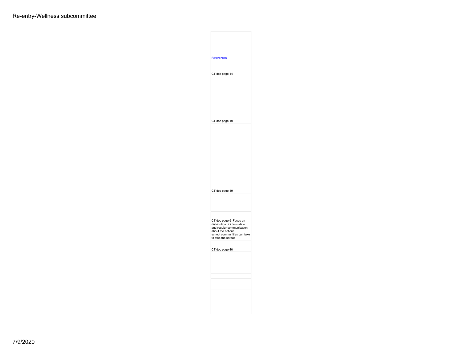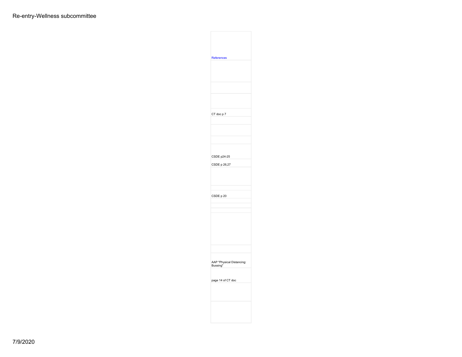